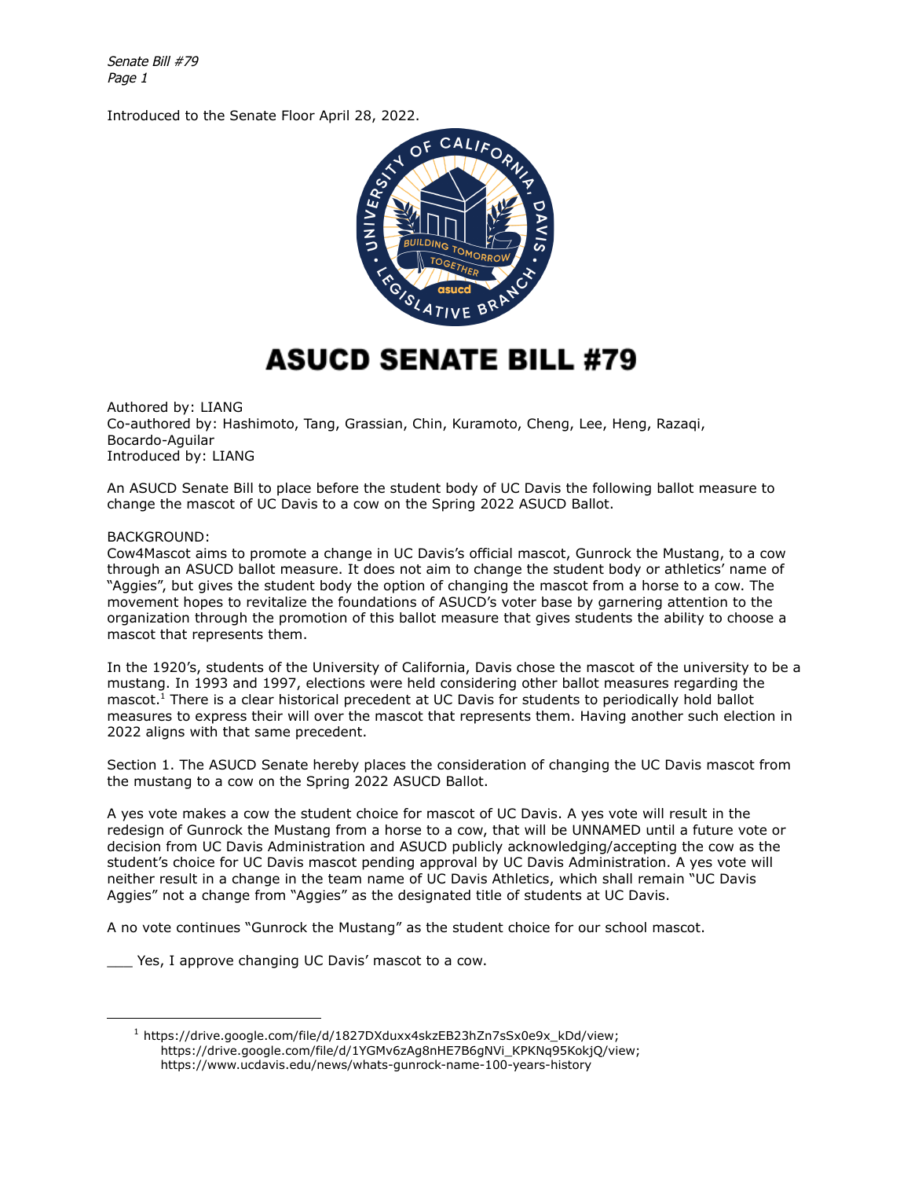Senate Bill #79 Page 1

Introduced to the Senate Floor April 28, 2022.



## **ASUCD SENATE BILL #79**

Authored by: LIANG Co-authored by: Hashimoto, Tang, Grassian, Chin, Kuramoto, Cheng, Lee, Heng, Razaqi, Bocardo-Aguilar Introduced by: LIANG

An ASUCD Senate Bill to place before the student body of UC Davis the following ballot measure to change the mascot of UC Davis to a cow on the Spring 2022 ASUCD Ballot.

## BACKGROUND:

Cow4Mascot aims to promote a change in UC Davis's official mascot, Gunrock the Mustang, to a cow through an ASUCD ballot measure. It does not aim to change the student body or athletics' name of "Aggies", but gives the student body the option of changing the mascot from a horse to a cow. The movement hopes to revitalize the foundations of ASUCD's voter base by garnering attention to the organization through the promotion of this ballot measure that gives students the ability to choose a mascot that represents them.

In the 1920's, students of the University of California, Davis chose the mascot of the university to be a mustang. In 1993 and 1997, elections were held considering other ballot measures regarding the mascot.<sup>1</sup> There is a clear historical precedent at UC Davis for students to periodically hold ballot measures to express their will over the mascot that represents them. Having another such election in 2022 aligns with that same precedent.

Section 1. The ASUCD Senate hereby places the consideration of changing the UC Davis mascot from the mustang to a cow on the Spring 2022 ASUCD Ballot.

A yes vote makes a cow the student choice for mascot of UC Davis. A yes vote will result in the redesign of Gunrock the Mustang from a horse to a cow, that will be UNNAMED until a future vote or decision from UC Davis Administration and ASUCD publicly acknowledging/accepting the cow as the student's choice for UC Davis mascot pending approval by UC Davis Administration. A yes vote will neither result in a change in the team name of UC Davis Athletics, which shall remain "UC Davis Aggies" not a change from "Aggies" as the designated title of students at UC Davis.

A no vote continues "Gunrock the Mustang" as the student choice for our school mascot.

\_\_\_ Yes, I approve changing UC Davis' mascot to a cow.

<sup>&</sup>lt;sup>1</sup> https://drive.google.com/file/d/1827DXduxx4skzEB23hZn7sSx0e9x\_kDd/view; https://drive.google.com/file/d/1YGMv6zAg8nHE7B6gNVi\_KPKNq95KokjQ/view; https://www.ucdavis.edu/news/whats-gunrock-name-100-years-history